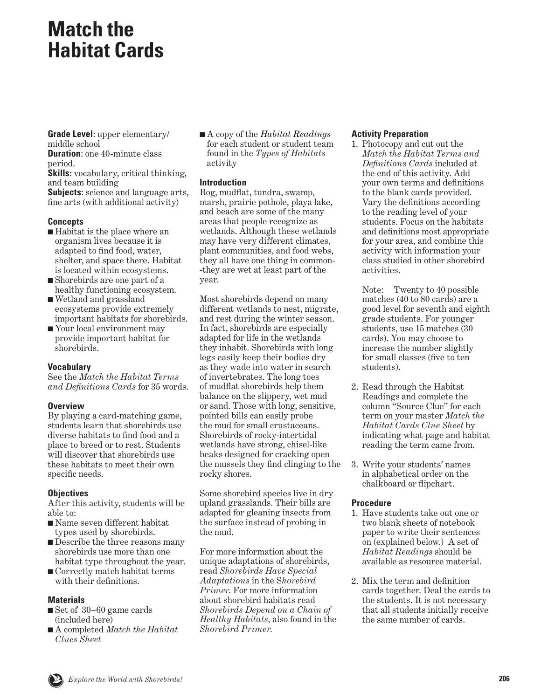### **Match the Habitat Cards**

**Grade Level**: upper elementary/ middle school

**Duration:** one 40-minute class period.

**Skills**: vocabulary, critical thinking, and team building **Subjects**: science and language arts, fine arts (with additional activity)

#### **Concepts**

- Habitat is the place where an organism lives because it is adapted to find food, water, shelter, and space there. Habitat is located within ecosystems.
- Shorebirds are one part of a healthy functioning ecosystem.
- Wetland and grassland ecosystems provide extremely important habitats for shorebirds.
- Your local environment may provide important habitat for shorebirds.

#### **Vocabulary**

See the *Match the Habitat Terms and Definitions Cards* for 35 words.

#### **Overview**

By playing a card-matching game, students learn that shorebirds use diverse habitats to find food and a place to breed or to rest. Students will discover that shorebirds use these habitats to meet their own specific needs.

#### **Objectives**

After this activity, students will be able to:

- Name seven different habitat types used by shorebirds.
- Describe the three reasons many shorebirds use more than one habitat type throughout the year.
- Correctly match habitat terms with their definitions.

#### **Materials**

- Set of 30–60 game cards (included here)
- A completed *Match the Habitat Clues Sheet*

■ A copy of the *Habitat Readings* for each student or student team found in the *Types of Habitats* activity

#### **Introduction**

Bog, mudflat, tundra, swamp, marsh, prairie pothole, playa lake, and beach are some of the many areas that people recognize as wetlands. Although these wetlands may have very different climates, plant communities, and food webs, they all have one thing in common- -they are wet at least part of the year.

Most shorebirds depend on many different wetlands to nest, migrate, and rest during the winter season. In fact, shorebirds are especially adapted for life in the wetlands they inhabit. Shorebirds with long legs easily keep their bodies dry as they wade into water in search of invertebrates. The long toes of mudflat shorebirds help them balance on the slippery, wet mud or sand. Those with long, sensitive, pointed bills can easily probe the mud for small crustaceans. Shorebirds of rocky-intertidal wetlands have strong, chisel-like beaks designed for cracking open the mussels they find clinging to the rocky shores.

Some shorebird species live in dry upland grasslands. Their bills are adapted for gleaning insects from the surface instead of probing in the mud.

For more information about the unique adaptations of shorebirds, read *Shorebirds Have Special Adaptations* in the S*horebird Primer*. For more information about shorebird habitats read *Shorebirds Depend on a Chain of Healthy Habitats,* also found in the *Shorebird Primer.*

#### **Activity Preparation**

1. Photocopy and cut out the *Match the Habitat Terms and Definitions Cards* included at the end of this activity. Add your own terms and definitions to the blank cards provided. Vary the definitions according to the reading level of your students. Focus on the habitats and definitions most appropriate for your area, and combine this activity with information your class studied in other shorebird activities.

 Note: Twenty to 40 possible matches (40 to 80 cards) are a good level for seventh and eighth grade students. For younger students, use 15 matches (30 cards). You may choose to increase the number slightly for small classes (five to ten students).

- 2. Read through the Habitat Readings and complete the column "Source Clue" for each term on your master *Match the Habitat Cards Clue Sheet* by indicating what page and habitat reading the term came from.
- 3. Write your students' names in alphabetical order on the chalkboard or flipchart.

#### **Procedure**

- 1. Have students take out one or two blank sheets of notebook paper to write their sentences on (explained below.) A set of *Habitat Readings* should be available as resource material.
- 2. Mix the term and definition cards together. Deal the cards to the students. It is not necessary that all students initially receive the same number of cards.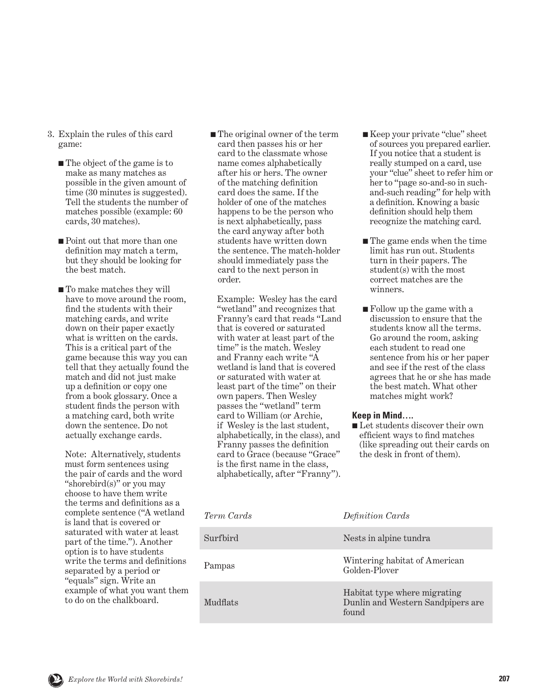- 3. Explain the rules of this card game:
	- The object of the game is to make as many matches as possible in the given amount of time (30 minutes is suggested). Tell the students the number of matches possible (example: 60 cards, 30 matches).
	- Point out that more than one definition may match a term, but they should be looking for the best match.
	- To make matches they will have to move around the room, find the students with their matching cards, and write down on their paper exactly what is written on the cards. This is a critical part of the game because this way you can tell that they actually found the match and did not just make up a definition or copy one from a book glossary. Once a student finds the person with a matching card, both write down the sentence. Do not actually exchange cards.

 Note: Alternatively, students must form sentences using the pair of cards and the word "shorebird(s)" or you may choose to have them write the terms and definitions as a complete sentence ("A wetland is land that is covered or saturated with water at least part of the time."). Another option is to have students write the terms and definitions separated by a period or "equals" sign. Write an example of what you want them to do on the chalkboard.

■ The original owner of the term card then passes his or her card to the classmate whose name comes alphabetically after his or hers. The owner of the matching definition card does the same. If the holder of one of the matches happens to be the person who is next alphabetically, pass the card anyway after both students have written down the sentence. The match-holder should immediately pass the card to the next person in order.

 Example: Wesley has the card "wetland" and recognizes that Franny's card that reads "Land that is covered or saturated with water at least part of the time" is the match. Wesley and Franny each write "A wetland is land that is covered or saturated with water at least part of the time" on their own papers. Then Wesley passes the "wetland" term card to William (or Archie, if Wesley is the last student, alphabetically, in the class), and Franny passes the definition card to Grace (because "Grace" is the first name in the class, alphabetically, after "Franny").

- Keep your private "clue" sheet of sources you prepared earlier. If you notice that a student is really stumped on a card, use your "clue" sheet to refer him or her to "page so-and-so in suchand-such reading" for help with a definition. Knowing a basic definition should help them recognize the matching card.
- The game ends when the time limit has run out. Students turn in their papers. The student(s) with the most correct matches are the winners.
- Follow up the game with a discussion to ensure that the students know all the terms. Go around the room, asking each student to read one sentence from his or her paper and see if the rest of the class agrees that he or she has made the best match. What other matches might work?

#### **Keep in Mind….**

■ Let students discover their own efficient ways to find matches (like spreading out their cards on the desk in front of them).

| Term Cards      | Definition Cards                                                           |
|-----------------|----------------------------------------------------------------------------|
| Surfbird        | Nests in alpine tundra                                                     |
| Pampas          | Wintering habitat of American<br>Golden-Plover                             |
| <b>Mudflats</b> | Habitat type where migrating<br>Dunlin and Western Sandpipers are<br>found |

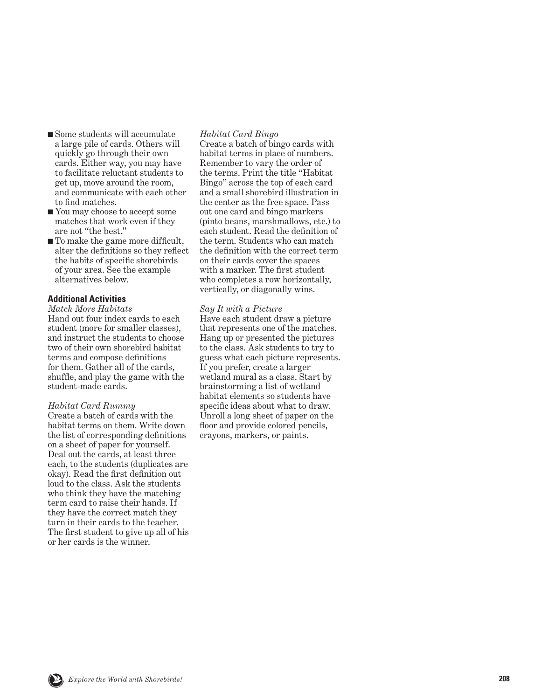- Some students will accumulate a large pile of cards. Others will quickly go through their own cards. Either way, you may have to facilitate reluctant students to get up, move around the room, and communicate with each other to find matches.
- You may choose to accept some matches that work even if they are not "the best."
- To make the game more difficult, alter the definitions so they reflect the habits of specific shorebirds of your area. See the example alternatives below.

#### **Additional Activities**

#### *Match More Habitats*

Hand out four index cards to each student (more for smaller classes), and instruct the students to choose two of their own shorebird habitat terms and compose definitions for them. Gather all of the cards, shuffle, and play the game with the student-made cards.

#### *Habitat Card Rummy*

Create a batch of cards with the habitat terms on them. Write down the list of corresponding definitions on a sheet of paper for yourself. Deal out the cards, at least three each, to the students (duplicates are okay). Read the first definition out loud to the class. Ask the students who think they have the matching term card to raise their hands. If they have the correct match they turn in their cards to the teacher. The first student to give up all of his or her cards is the winner.

#### *Habitat Card Bingo*

Create a batch of bingo cards with habitat terms in place of numbers. Remember to vary the order of the terms. Print the title "Habitat Bingo" across the top of each card and a small shorebird illustration in the center as the free space. Pass out one card and bingo markers (pinto beans, marshmallows, etc.) to each student. Read the definition of the term. Students who can match the definition with the correct term on their cards cover the spaces with a marker. The first student who completes a row horizontally, vertically, or diagonally wins.

#### *Say It with a Picture*

Have each student draw a picture that represents one of the matches. Hang up or presented the pictures to the class. Ask students to try to guess what each picture represents. If you prefer, create a larger wetland mural as a class. Start by brainstorming a list of wetland habitat elements so students have specific ideas about what to draw. Unroll a long sheet of paper on the floor and provide colored pencils, crayons, markers, or paints.

SHOREB<sup>S</sup><sup>I</sup>STE<sup>R</sup> <sup>S</sup>C<sup>H</sup>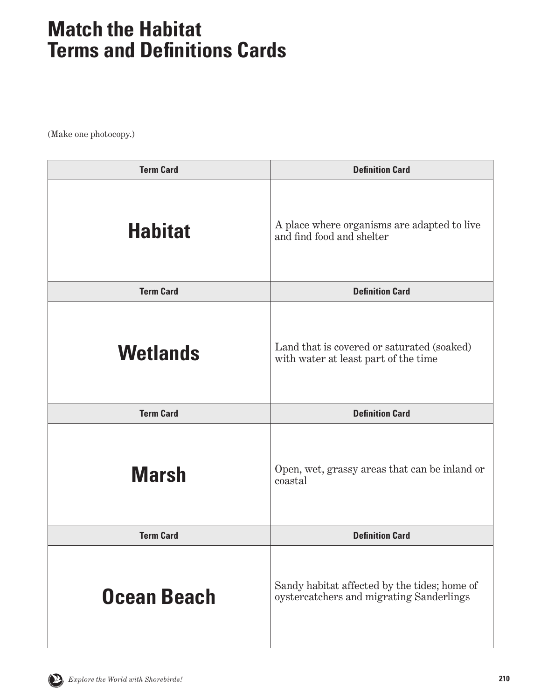| <b>Term Card</b> | <b>Definition Card</b>                                                             |
|------------------|------------------------------------------------------------------------------------|
| <b>Habitat</b>   | A place where organisms are adapted to live<br>and find food and shelter           |
| <b>Term Card</b> | <b>Definition Card</b>                                                             |
| <b>Wetlands</b>  | Land that is covered or saturated (soaked)<br>with water at least part of the time |
| <b>Term Card</b> | <b>Definition Card</b>                                                             |
| <b>Marsh</b>     | Open, wet, grassy areas that can be inland or<br>coastal                           |
| <b>Term Card</b> | <b>Definition Card</b>                                                             |
|                  |                                                                                    |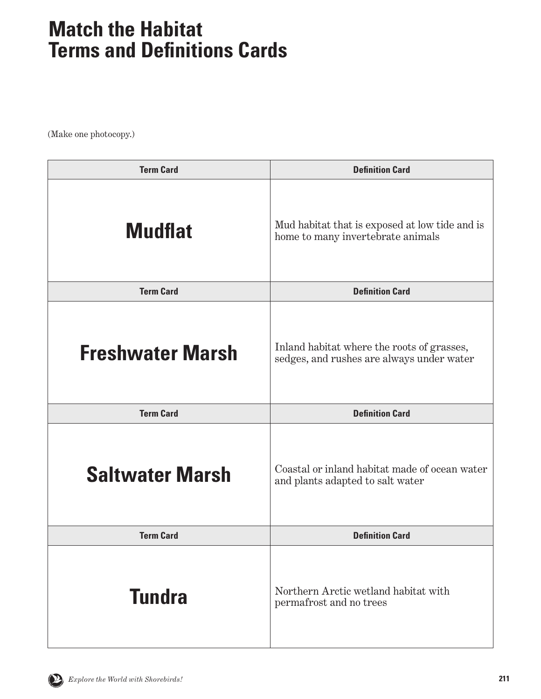| <b>Term Card</b>        | <b>Definition Card</b>                                                                  |
|-------------------------|-----------------------------------------------------------------------------------------|
| <b>Mudflat</b>          | Mud habitat that is exposed at low tide and is<br>home to many invertebrate animals     |
| <b>Term Card</b>        | <b>Definition Card</b>                                                                  |
| <b>Freshwater Marsh</b> | Inland habitat where the roots of grasses,<br>sedges, and rushes are always under water |
| <b>Term Card</b>        | <b>Definition Card</b>                                                                  |
| <b>Saltwater Marsh</b>  | Coastal or inland habitat made of ocean water<br>and plants adapted to salt water       |
| <b>Term Card</b>        | <b>Definition Card</b>                                                                  |
| <b>Tundra</b>           | Northern Arctic wetland habitat with<br>permafrost and no trees                         |

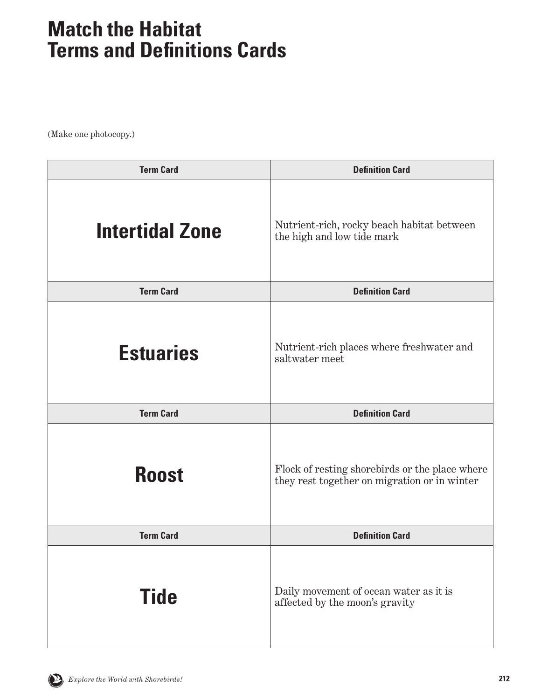| <b>Term Card</b>       | <b>Definition Card</b>                                                                         |
|------------------------|------------------------------------------------------------------------------------------------|
| <b>Intertidal Zone</b> | Nutrient-rich, rocky beach habitat between<br>the high and low tide mark                       |
| <b>Term Card</b>       | <b>Definition Card</b>                                                                         |
| <b>Estuaries</b>       | Nutrient-rich places where freshwater and<br>saltwater meet                                    |
| <b>Term Card</b>       | <b>Definition Card</b>                                                                         |
| <b>Roost</b>           | Flock of resting shorebirds or the place where<br>they rest together on migration or in winter |
| <b>Term Card</b>       | <b>Definition Card</b>                                                                         |
| <b>Tide</b>            | Daily movement of ocean water as it is<br>affected by the moon's gravity                       |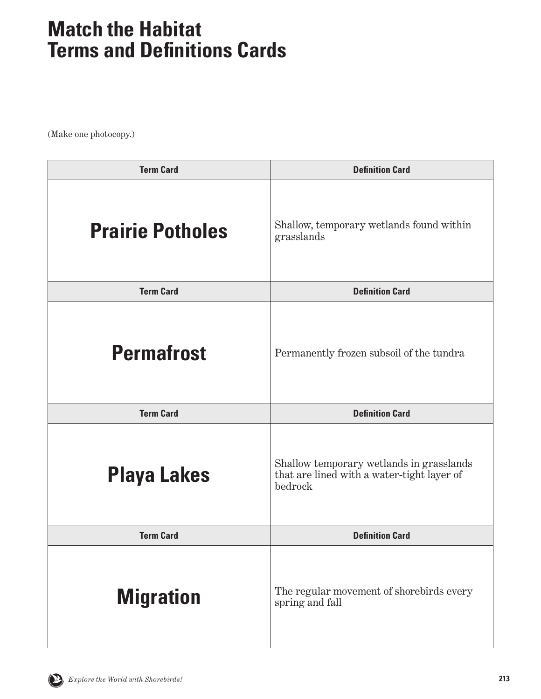| <b>Term Card</b>        | <b>Definition Card</b>                                                                            |
|-------------------------|---------------------------------------------------------------------------------------------------|
| <b>Prairie Potholes</b> | Shallow, temporary wetlands found within<br>grasslands                                            |
| <b>Term Card</b>        | <b>Definition Card</b>                                                                            |
| <b>Permafrost</b>       | Permanently frozen subsoil of the tundra                                                          |
| <b>Term Card</b>        | <b>Definition Card</b>                                                                            |
| <b>Playa Lakes</b>      | Shallow temporary wetlands in grasslands<br>that are lined with a water-tight layer of<br>bedrock |
| <b>Term Card</b>        | <b>Definition Card</b>                                                                            |
|                         |                                                                                                   |

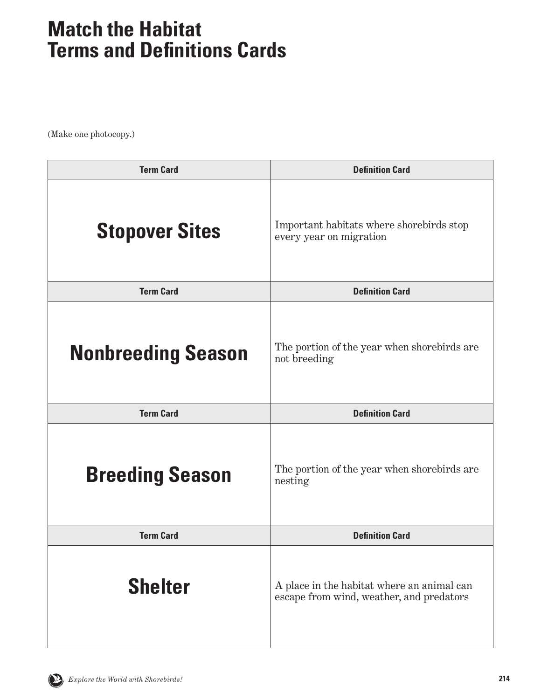| <b>Term Card</b>          | <b>Definition Card</b>                                              |
|---------------------------|---------------------------------------------------------------------|
| <b>Stopover Sites</b>     | Important habitats where shorebirds stop<br>every year on migration |
| <b>Term Card</b>          | <b>Definition Card</b>                                              |
| <b>Nonbreeding Season</b> | The portion of the year when shorebirds are<br>not breeding         |
| <b>Term Card</b>          | <b>Definition Card</b>                                              |
| <b>Breeding Season</b>    | The portion of the year when shorebirds are                         |
|                           | nesting                                                             |
| <b>Term Card</b>          | <b>Definition Card</b>                                              |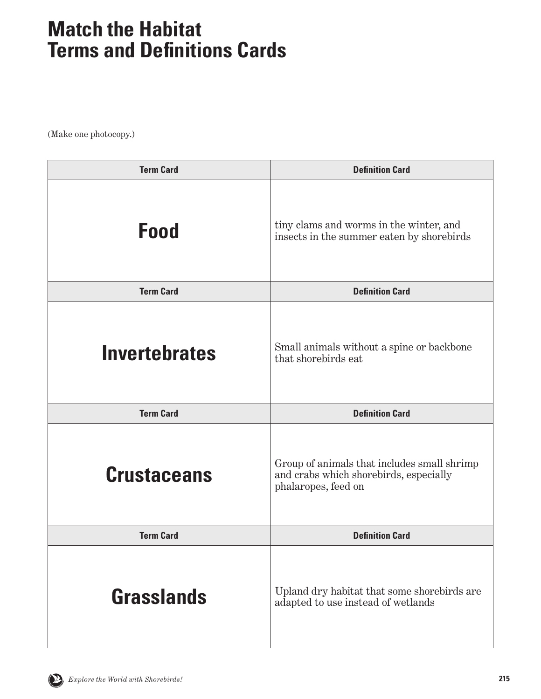| <b>Term Card</b>     | <b>Definition Card</b>                                                                                       |
|----------------------|--------------------------------------------------------------------------------------------------------------|
| <b>Food</b>          | tiny clams and worms in the winter, and<br>insects in the summer eaten by shorebirds                         |
| <b>Term Card</b>     | <b>Definition Card</b>                                                                                       |
| <b>Invertebrates</b> | Small animals without a spine or backbone<br>that shorebirds eat                                             |
| <b>Term Card</b>     | <b>Definition Card</b>                                                                                       |
|                      |                                                                                                              |
| <b>Crustaceans</b>   | Group of animals that includes small shrimp<br>and crabs which shorebirds, especially<br>phalaropes, feed on |
| <b>Term Card</b>     | <b>Definition Card</b>                                                                                       |

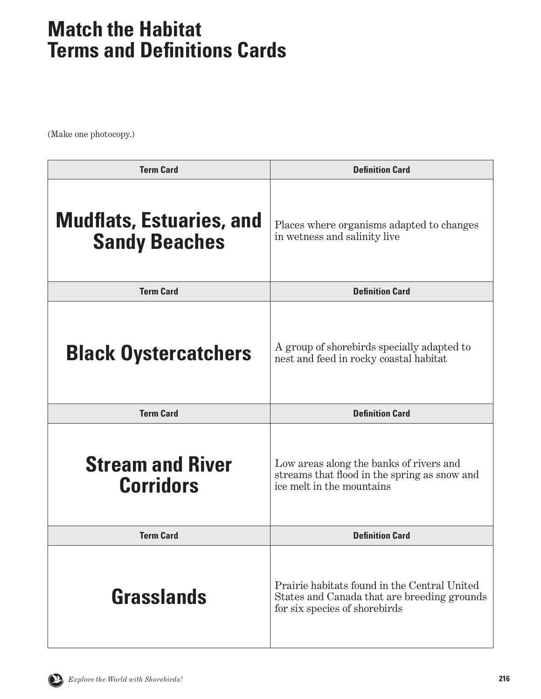| <b>Term Card</b>                                        | <b>Definition Card</b>                                                                                                       |
|---------------------------------------------------------|------------------------------------------------------------------------------------------------------------------------------|
| <b>Mudflats, Estuaries, and</b><br><b>Sandy Beaches</b> | Places where organisms adapted to changes<br>in we tness and salinity live                                                   |
| <b>Term Card</b>                                        | <b>Definition Card</b>                                                                                                       |
| <b>Black Oystercatchers</b>                             | A group of shorebirds specially adapted to<br>nest and feed in rocky coastal habitat                                         |
| <b>Term Card</b>                                        | <b>Definition Card</b>                                                                                                       |
| <b>Stream and River</b><br><b>Corridors</b>             | Low areas along the banks of rivers and<br>streams that flood in the spring as snow and<br>ice melt in the mountains         |
| <b>Term Card</b>                                        | <b>Definition Card</b>                                                                                                       |
| Grasslands                                              | Prairie habitats found in the Central United<br>States and Canada that are breeding grounds<br>for six species of shorebirds |

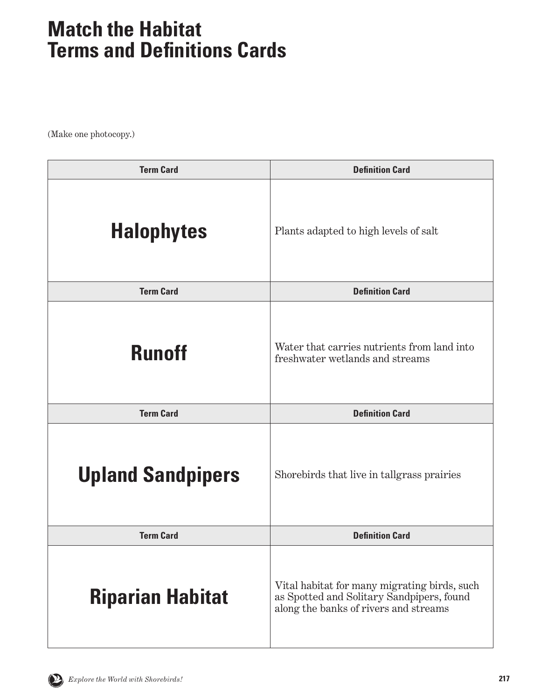| <b>Term Card</b>         | <b>Definition Card</b>                                                                                                             |
|--------------------------|------------------------------------------------------------------------------------------------------------------------------------|
| <b>Halophytes</b>        | Plants adapted to high levels of salt                                                                                              |
| <b>Term Card</b>         | <b>Definition Card</b>                                                                                                             |
| <b>Runoff</b>            | Water that carries nutrients from land into<br>freshwater wetlands and streams                                                     |
| <b>Term Card</b>         | <b>Definition Card</b>                                                                                                             |
| <b>Upland Sandpipers</b> | Shorebirds that live in tallgrass prairies                                                                                         |
| <b>Term Card</b>         | <b>Definition Card</b>                                                                                                             |
| <b>Riparian Habitat</b>  | Vital habitat for many migrating birds, such<br>as Spotted and Solitary Sandpipers, found<br>along the banks of rivers and streams |

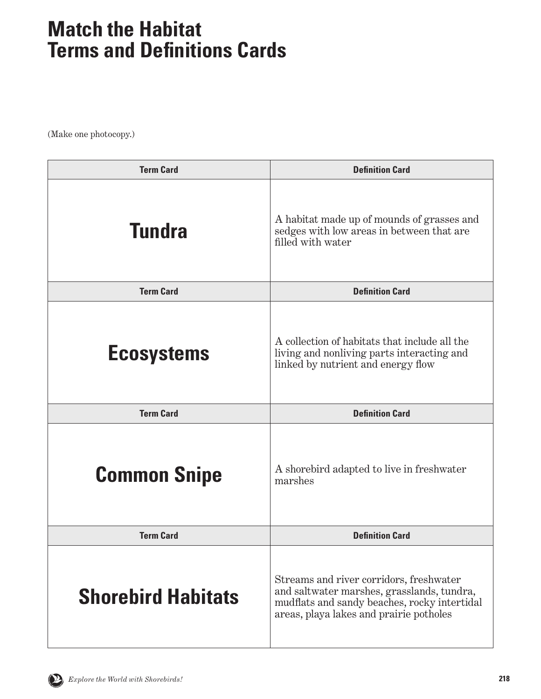| <b>Term Card</b>          | <b>Definition Card</b>                                                                                                                                                           |
|---------------------------|----------------------------------------------------------------------------------------------------------------------------------------------------------------------------------|
| <b>Tundra</b>             | A habitat made up of mounds of grasses and<br>sedges with low areas in between that are<br>filled with water                                                                     |
| <b>Term Card</b>          | <b>Definition Card</b>                                                                                                                                                           |
| <b>Ecosystems</b>         | A collection of habitats that include all the<br>living and nonliving parts interacting and<br>linked by nutrient and energy flow                                                |
| <b>Term Card</b>          | <b>Definition Card</b>                                                                                                                                                           |
| <b>Common Snipe</b>       | A shorebird adapted to live in freshwater<br>marshes                                                                                                                             |
| <b>Term Card</b>          | <b>Definition Card</b>                                                                                                                                                           |
| <b>Shorebird Habitats</b> | Streams and river corridors, freshwater<br>and saltwater marshes, grasslands, tundra,<br>mudflats and sandy beaches, rocky intertidal<br>areas, playa lakes and prairie potholes |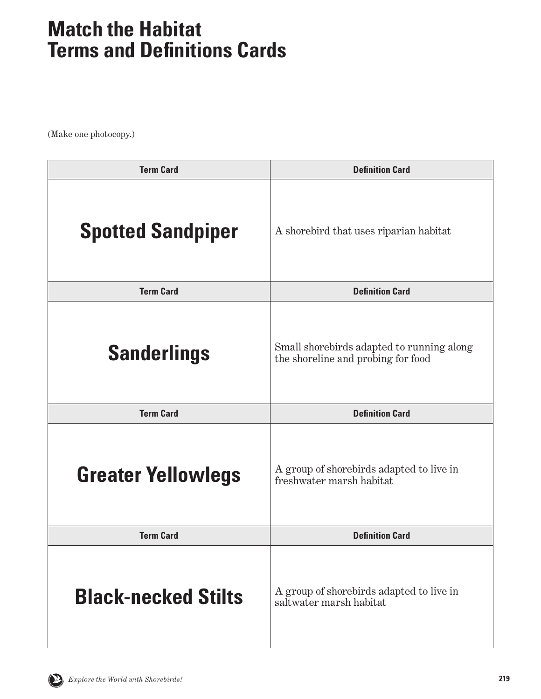| <b>Term Card</b>           | <b>Definition Card</b>                                                          |
|----------------------------|---------------------------------------------------------------------------------|
| <b>Spotted Sandpiper</b>   | A shorebird that uses riparian habitat                                          |
| <b>Term Card</b>           | <b>Definition Card</b>                                                          |
| <b>Sanderlings</b>         | Small shorebirds adapted to running along<br>the shoreline and probing for food |
| <b>Term Card</b>           | <b>Definition Card</b>                                                          |
| <b>Greater Yellowlegs</b>  | A group of shorebirds adapted to live in<br>freshwater marsh habitat            |
| <b>Term Card</b>           | <b>Definition Card</b>                                                          |
| <b>Black-necked Stilts</b> | A group of shorebirds adapted to live in<br>saltwater marsh habitat             |

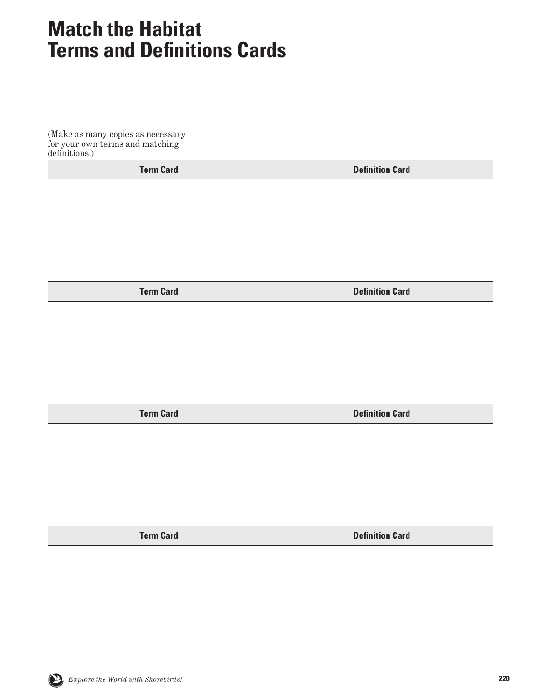(Make as many copies as necessary for your own terms and matching definitions.)

| <b>Term Card</b> | <b>Definition Card</b> |
|------------------|------------------------|
|                  |                        |
|                  |                        |
|                  |                        |
|                  |                        |
|                  |                        |
| <b>Term Card</b> | <b>Definition Card</b> |
|                  |                        |
|                  |                        |
|                  |                        |
|                  |                        |
|                  |                        |
|                  |                        |
| <b>Term Card</b> | <b>Definition Card</b> |
|                  |                        |
|                  |                        |
|                  |                        |
|                  |                        |
|                  |                        |
| <b>Term Card</b> | <b>Definition Card</b> |
|                  |                        |
|                  |                        |
|                  |                        |
|                  |                        |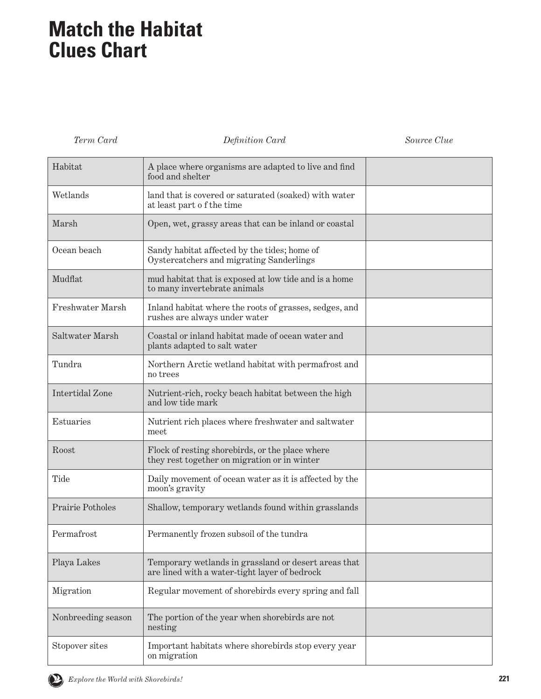# **Match the Habitat Clues Chart**

*Term Card Definition Card Source Clue*

| Habitat                | A place where organisms are adapted to live and find<br>food and shelter                              |  |
|------------------------|-------------------------------------------------------------------------------------------------------|--|
| Wetlands               | land that is covered or saturated (soaked) with water<br>at least part of the time                    |  |
| Marsh                  | Open, wet, grassy areas that can be inland or coastal                                                 |  |
| Ocean beach            | Sandy habitat affected by the tides; home of<br>Oystercatchers and migrating Sanderlings              |  |
| Mudflat                | mud habitat that is exposed at low tide and is a home<br>to many invertebrate animals                 |  |
| Freshwater Marsh       | Inland habitat where the roots of grasses, sedges, and<br>rushes are always under water               |  |
| Saltwater Marsh        | Coastal or inland habitat made of ocean water and<br>plants adapted to salt water                     |  |
| Tundra                 | Northern Arctic wetland habitat with permafrost and<br>no trees                                       |  |
| <b>Intertidal Zone</b> | Nutrient-rich, rocky beach habitat between the high<br>and low tide mark                              |  |
| Estuaries              | Nutrient rich places where freshwater and saltwater<br>meet                                           |  |
| Roost                  | Flock of resting shorebirds, or the place where<br>they rest together on migration or in winter       |  |
| Tide                   | Daily movement of ocean water as it is affected by the<br>moon's gravity                              |  |
| Prairie Potholes       | Shallow, temporary wetlands found within grasslands                                                   |  |
| Permafrost             | Permanently frozen subsoil of the tundra                                                              |  |
| Playa Lakes            | Temporary wetlands in grassland or desert areas that<br>are lined with a water-tight layer of bedrock |  |
| Migration              | Regular movement of shorebirds every spring and fall                                                  |  |
| Nonbreeding season     | The portion of the year when shorebirds are not<br>nesting                                            |  |
| Stopover sites         | Important habitats where shorebirds stop every year<br>on migration                                   |  |

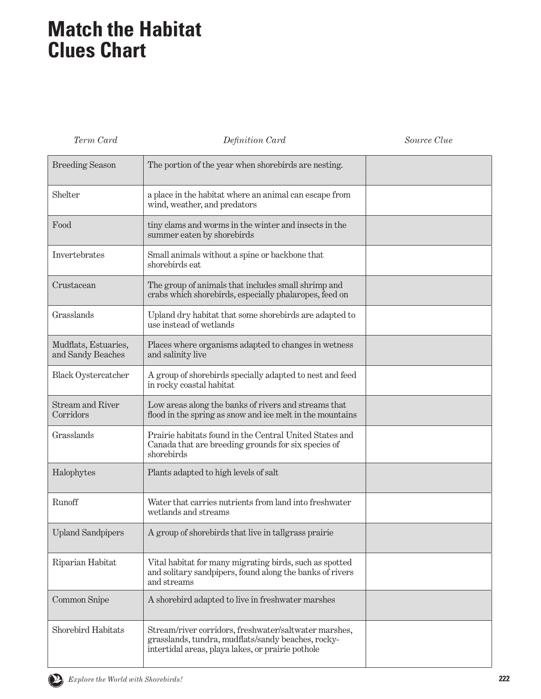# **Match the Habitat Clues Chart**

*Term Card Definition Card Source Clue*

| <b>Breeding Season</b>                    | The portion of the year when shorebirds are nesting.                                                                                                             |  |
|-------------------------------------------|------------------------------------------------------------------------------------------------------------------------------------------------------------------|--|
| Shelter                                   | a place in the habitat where an animal can escape from<br>wind, weather, and predators                                                                           |  |
| Food                                      | tiny clams and worms in the winter and insects in the<br>summer eaten by shorebirds                                                                              |  |
| Invertebrates                             | Small animals without a spine or backbone that<br>shorebirds eat                                                                                                 |  |
| Crustacean                                | The group of animals that includes small shrimp and<br>crabs which shorebirds, especially phalaropes, feed on                                                    |  |
| Grasslands                                | Upland dry habitat that some shorebirds are adapted to<br>use instead of wetlands                                                                                |  |
| Mudflats, Estuaries,<br>and Sandy Beaches | Places where organisms adapted to changes in wetness<br>and salinity live                                                                                        |  |
| <b>Black Oystercatcher</b>                | A group of shorebirds specially adapted to nest and feed<br>in rocky coastal habitat                                                                             |  |
| <b>Stream and River</b><br>Corridors      | Low areas along the banks of rivers and streams that<br>flood in the spring as snow and ice melt in the mountains                                                |  |
| Grasslands                                | Prairie habitats found in the Central United States and<br>Canada that are breeding grounds for six species of<br>shorebirds                                     |  |
| Halophytes                                | Plants adapted to high levels of salt                                                                                                                            |  |
| Runoff                                    | Water that carries nutrients from land into freshwater<br>wetlands and streams                                                                                   |  |
| <b>Upland Sandpipers</b>                  | A group of shorebirds that live in tallgrass prairie                                                                                                             |  |
| Riparian Habitat                          | Vital habitat for many migrating birds, such as spotted<br>and solitary sandpipers, found along the banks of rivers<br>and streams                               |  |
| Common Snipe                              | A shorebird adapted to live in freshwater marshes                                                                                                                |  |
| Shorebird Habitats                        | Stream/river corridors, freshwater/saltwater marshes,<br>grasslands, tundra, mudflats/sandy beaches, rocky-<br>intertidal areas, playa lakes, or prairie pothole |  |